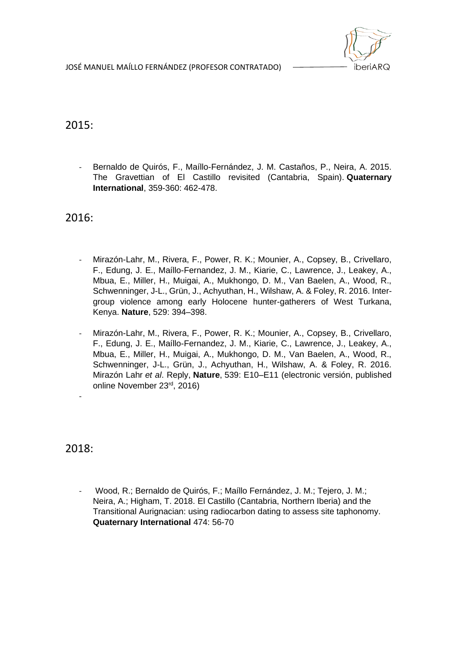JOSÉ MANUEL MAÍLLO FERNÁNDEZ (PROFESOR CONTRATADO)



# 2015:

Bernaldo de Quirós, F., Maíllo-Fernández, J. M. Castaños, P., Neira, A. 2015. The Gravettian of El Castillo revisited (Cantabria, Spain). **Quaternary International**, 359-360: 462-478.

2016:

- Mirazón-Lahr, M., Rivera, F., Power, R. K.; Mounier, A., Copsey, B., Crivellaro, F., Edung, J. E., Maíllo-Fernandez, J. M., Kiarie, C., Lawrence, J., Leakey, A., Mbua, E., Miller, H., Muigai, A., Mukhongo, D. M., Van Baelen, A., Wood, R., Schwenninger, J-L., Grün, J., Achyuthan, H., Wilshaw, A. & Foley, R. 2016. Intergroup violence among early Holocene hunter-gatherers of West Turkana, Kenya. **Nature**, 529: 394–398.
- Mirazón-Lahr, M., Rivera, F., Power, R. K.; Mounier, A., Copsey, B., Crivellaro, F., Edung, J. E., Maíllo-Fernandez, J. M., Kiarie, C., Lawrence, J., Leakey, A., Mbua, E., Miller, H., Muigai, A., Mukhongo, D. M., Van Baelen, A., Wood, R., Schwenninger, J-L., Grün, J., Achyuthan, H., Wilshaw, A. & Foley, R. 2016. Mirazón Lahr *et al*. Reply, **Nature**, 539: E10–E11 (electronic versión, published online November 23rd, 2016)

2018:

-

- Wood, R.; Bernaldo de Quirós, F.; Maíllo Fernández, J. M.; Tejero, J. M.; Neira, A.; Higham, T. 2018. El Castillo (Cantabria, Northern Iberia) and the Transitional Aurignacian: using radiocarbon dating to assess site taphonomy. **Quaternary International** 474: 56-70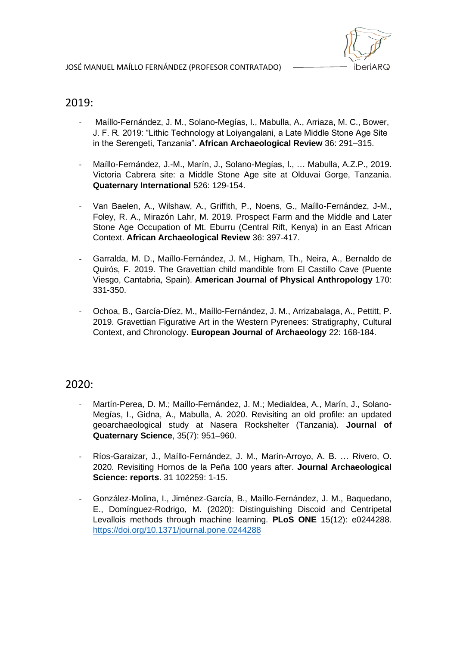

### 2019:

- Maíllo-Fernández, J. M., Solano-Megías, I., Mabulla, A., Arriaza, M. C., Bower, J. F. R. 2019: "Lithic Technology at Loiyangalani, a Late Middle Stone Age Site in the Serengeti, Tanzania". **African Archaeological Review** 36: 291–315.
- Maíllo-Fernández, J.-M., Marín, J., Solano-Megías, I., … Mabulla, A.Z.P., 2019. Victoria Cabrera site: a Middle Stone Age site at Olduvai Gorge, Tanzania. **Quaternary International** 526: 129-154.
- Van Baelen, A., Wilshaw, A., Griffith, P., Noens, G., Maíllo-Fernández, J-M., Foley, R. A., Mirazón Lahr, M. 2019. Prospect Farm and the Middle and Later Stone Age Occupation of Mt. Eburru (Central Rift, Kenya) in an East African Context. **African Archaeological Review** 36: 397-417.
- Garralda, M. D., Maíllo-Fernández, J. M., Higham, Th., Neira, A., Bernaldo de Quirós, F. 2019. The Gravettian child mandible from El Castillo Cave (Puente Viesgo, Cantabria, Spain). **American Journal of Physical Anthropology** 170: 331-350.
- Ochoa, B., García-Díez, M., Maíllo-Fernández, J. M., Arrizabalaga, A., Pettitt, P. 2019. Gravettian Figurative Art in the Western Pyrenees: Stratigraphy, Cultural Context, and Chronology. **European Journal of Archaeology** 22: 168-184.

#### 2020:

- Martín-Perea, D. M.; Maíllo-Fernández, J. M.; Medialdea, A., Marín, J., Solano-Megías, I., Gidna, A., Mabulla, A. 2020. Revisiting an old profile: an updated geoarchaeological study at Nasera Rockshelter (Tanzania). **Journal of Quaternary Science**, 35(7): 951–960.
- Ríos-Garaizar, J., Maíllo-Fernández, J. M., Marín-Arroyo, A. B. … Rivero, O. 2020. Revisiting Hornos de la Peña 100 years after. **Journal Archaeological Science: reports**. 31 102259: 1-15.
- González-Molina, I., Jiménez-García, B., Maíllo-Fernández, J. M., Baquedano, E., Domínguez-Rodrigo, M. (2020): Distinguishing Discoid and Centripetal Levallois methods through machine learning. **PLoS ONE** 15(12): e0244288. <https://doi.org/10.1371/journal.pone.0244288>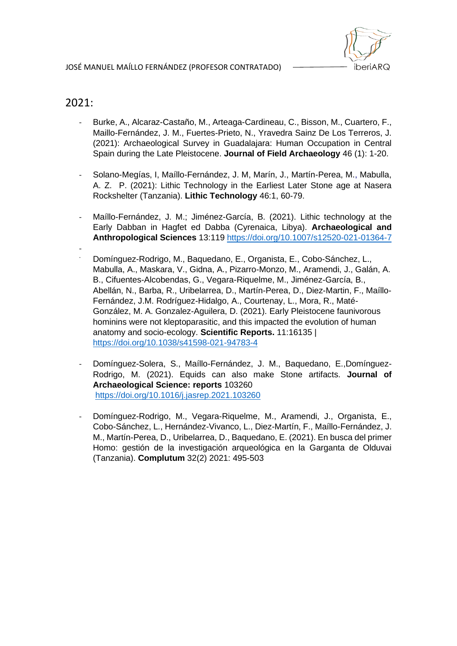

## 2021:

- Burke, A., Alcaraz-Castaño, M., Arteaga-Cardineau, C., Bisson, M., Cuartero, F., Maillo-Fernández, J. M., Fuertes-Prieto, N., Yravedra Sainz De Los Terreros, J. (2021): Archaeological Survey in Guadalajara: Human Occupation in Central Spain during the Late Pleistocene. **Journal of Field Archaeology** 46 (1): 1-20.
- Solano-Megías, I, Maíllo-Fernández, J. M, Marín, J., Martín-Perea, M., Mabulla, A. Z. P. (2021): Lithic Technology in the Earliest Later Stone age at Nasera Rockshelter (Tanzania). **Lithic Technology** 46:1, 60-79.
- Maíllo-Fernández, J. M.; Jiménez-García, B. (2021). Lithic technology at the Early Dabban in Hagfet ed Dabba (Cyrenaica, Libya). **Archaeological and Anthropological Sciences** 13:119<https://doi.org/10.1007/s12520-021-01364-7>
- - Domínguez-Rodrigo, M., Baquedano, E., Organista, E., Cobo-Sánchez, L., Mabulla, A., Maskara, V., Gidna, A., Pizarro-Monzo, M., Aramendi, J., Galán, A. B., Cifuentes-Alcobendas, G., Vegara-Riquelme, M., Jiménez-García, B., Abellán, N., Barba, R., Uribelarrea, D., Martín-Perea, D., Diez-Martin, F., Maíllo-Fernández, J.M. Rodríguez-Hidalgo, A., Courtenay, L., Mora, R., Maté-González, M. A. Gonzalez-Aguilera, D. (2021). Early Pleistocene faunivorous hominins were not kleptoparasitic, and this impacted the evolution of human anatomy and socio-ecology. **Scientific Reports.** 11:16135 | <https://doi.org/10.1038/s41598-021-94783-4>
- Domínguez-Solera, S., Maíllo-Fernández, J. M., Baquedano, E.,Domínguez-Rodrigo, M. (2021). Equids can also make Stone artifacts. **Journal of Archaeological Science: reports** 103260 <https://doi.org/10.1016/j.jasrep.2021.103260>
- Domínguez-Rodrigo, M., Vegara-Riquelme, M., Aramendi, J., Organista, E., Cobo-Sánchez, L., Hernández-Vivanco, L., Diez-Martín, F., Maíllo-Fernández, J. M., Martín-Perea, D., Uribelarrea, D., Baquedano, E. (2021). En busca del primer Homo: gestión de la investigación arqueológica en la Garganta de Olduvai (Tanzania). **Complutum** 32(2) 2021: 495-503